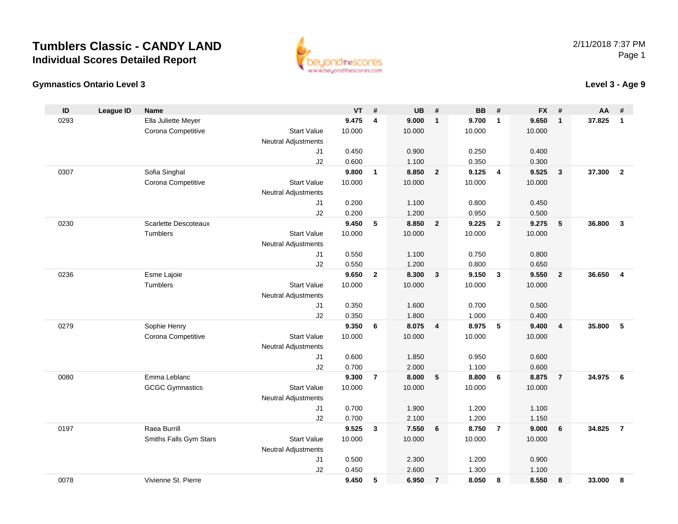



| ID   | <b>League ID</b> | <b>Name</b>            |                     | VT     | #              | <b>UB</b> | #                       | <b>BB</b> | #                       | <b>FX</b> | #              | AA     | #              |
|------|------------------|------------------------|---------------------|--------|----------------|-----------|-------------------------|-----------|-------------------------|-----------|----------------|--------|----------------|
| 0293 |                  | Ella Juliette Meyer    |                     | 9.475  | $\overline{4}$ | 9.000     | $\overline{1}$          | 9.700     | $\overline{1}$          | 9.650     | $\mathbf{1}$   | 37.825 | $\mathbf{1}$   |
|      |                  | Corona Competitive     | <b>Start Value</b>  | 10.000 |                | 10.000    |                         | 10.000    |                         | 10.000    |                |        |                |
|      |                  |                        | Neutral Adjustments |        |                |           |                         |           |                         |           |                |        |                |
|      |                  |                        | J1                  | 0.450  |                | 0.900     |                         | 0.250     |                         | 0.400     |                |        |                |
|      |                  |                        | J2                  | 0.600  |                | 1.100     |                         | 0.350     |                         | 0.300     |                |        |                |
| 0307 |                  | Sofia Singhal          |                     | 9.800  | $\mathbf{1}$   | 8.850     | $\overline{2}$          | 9.125     | $\overline{4}$          | 9.525     | $\mathbf{3}$   | 37.300 | $\overline{2}$ |
|      |                  | Corona Competitive     | <b>Start Value</b>  | 10.000 |                | 10.000    |                         | 10.000    |                         | 10.000    |                |        |                |
|      |                  |                        | Neutral Adjustments |        |                |           |                         |           |                         |           |                |        |                |
|      |                  |                        | J1                  | 0.200  |                | 1.100     |                         | 0.800     |                         | 0.450     |                |        |                |
|      |                  |                        | J2                  | 0.200  |                | 1.200     |                         | 0.950     |                         | 0.500     |                |        |                |
| 0230 |                  | Scarlette Descoteaux   |                     | 9.450  | 5              | 8.850     | $\overline{2}$          | 9.225     | $\overline{\mathbf{2}}$ | 9.275     | 5              | 36.800 | $\mathbf{3}$   |
|      |                  | Tumblers               | <b>Start Value</b>  | 10.000 |                | 10.000    |                         | 10.000    |                         | 10.000    |                |        |                |
|      |                  |                        | Neutral Adjustments |        |                |           |                         |           |                         |           |                |        |                |
|      |                  |                        | J1                  | 0.550  |                | 1.100     |                         | 0.750     |                         | 0.800     |                |        |                |
|      |                  |                        | J2                  | 0.550  |                | 1.200     |                         | 0.800     |                         | 0.650     |                |        |                |
| 0236 |                  | Esme Lajoie            |                     | 9.650  | $\mathbf{2}$   | 8.300     | $\mathbf{3}$            | 9.150     | $\mathbf{3}$            | 9.550     | $\overline{2}$ | 36.650 | 4              |
|      |                  | Tumblers               | <b>Start Value</b>  | 10.000 |                | 10.000    |                         | 10.000    |                         | 10.000    |                |        |                |
|      |                  |                        | Neutral Adjustments |        |                |           |                         |           |                         |           |                |        |                |
|      |                  |                        | J1                  | 0.350  |                | 1.600     |                         | 0.700     |                         | 0.500     |                |        |                |
|      |                  |                        | J2                  | 0.350  |                | 1.800     |                         | 1.000     |                         | 0.400     |                |        |                |
| 0279 |                  | Sophie Henry           |                     | 9.350  | 6              | 8.075     | $\overline{\mathbf{4}}$ | 8.975     | 5                       | 9.400     | $\overline{4}$ | 35.800 | 5              |
|      |                  | Corona Competitive     | <b>Start Value</b>  | 10.000 |                | 10.000    |                         | 10.000    |                         | 10.000    |                |        |                |
|      |                  |                        | Neutral Adjustments |        |                |           |                         |           |                         |           |                |        |                |
|      |                  |                        | J1                  | 0.600  |                | 1.850     |                         | 0.950     |                         | 0.600     |                |        |                |
|      |                  |                        | J2                  | 0.700  |                | 2.000     |                         | 1.100     |                         | 0.600     |                |        |                |
| 0080 |                  | Emma Leblanc           |                     | 9.300  | $\overline{7}$ | 8.000     | 5                       | 8.800     | 6                       | 8.875     | $\overline{7}$ | 34.975 | - 6            |
|      |                  | <b>GCGC Gymnastics</b> | <b>Start Value</b>  | 10.000 |                | 10.000    |                         | 10.000    |                         | 10.000    |                |        |                |
|      |                  |                        | Neutral Adjustments |        |                |           |                         |           |                         |           |                |        |                |
|      |                  |                        | J1                  | 0.700  |                | 1.900     |                         | 1.200     |                         | 1.100     |                |        |                |
|      |                  |                        | J2                  | 0.700  |                | 2.100     |                         | 1.200     |                         | 1.150     |                |        |                |
| 0197 |                  | Raea Burrill           |                     | 9.525  | 3              | 7.550     | 6                       | 8.750     | $\overline{7}$          | 9.000     | 6              | 34.825 | $\overline{7}$ |
|      |                  | Smiths Falls Gym Stars | <b>Start Value</b>  | 10.000 |                | 10.000    |                         | 10.000    |                         | 10.000    |                |        |                |
|      |                  |                        | Neutral Adjustments |        |                |           |                         |           |                         |           |                |        |                |
|      |                  |                        | J1                  | 0.500  |                | 2.300     |                         | 1.200     |                         | 0.900     |                |        |                |
|      |                  |                        | J2                  | 0.450  |                | 2.600     |                         | 1.300     |                         | 1.100     |                |        |                |
| 0078 |                  | Vivienne St. Pierre    |                     | 9.450  | 5              | 6.950     | $\overline{7}$          | 8.050     | 8                       | 8.550     | 8              | 33.000 | 8              |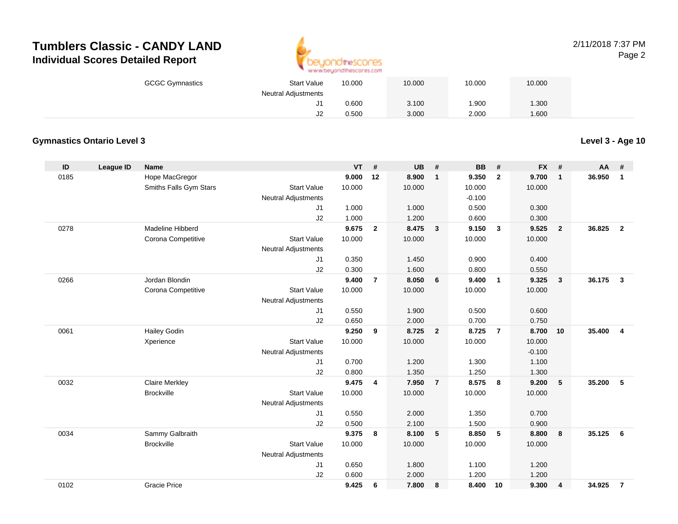

#### 2/11/2018 7:37 PMPage 2

| <b>GCGC Gymnastics</b> | <b>Start Value</b>         | 10.000 | 10.000 | 10.000 | 10.000 |  |
|------------------------|----------------------------|--------|--------|--------|--------|--|
|                        | <b>Neutral Adjustments</b> |        |        |        |        |  |
|                        | ا ب                        | 0.600  | 3.100  | 1.900  | .300   |  |
|                        | J2                         | 0.500  | 3.000  | 2.000  | 1.600  |  |

### **Gymnastics Ontario Level 3**

| ID   | League ID | <b>Name</b>            |                            | <b>VT</b> | #              | <b>UB</b> | #                       | <b>BB</b> | #                       | <b>FX</b> | #                       | <b>AA</b> | #                       |
|------|-----------|------------------------|----------------------------|-----------|----------------|-----------|-------------------------|-----------|-------------------------|-----------|-------------------------|-----------|-------------------------|
| 0185 |           | Hope MacGregor         |                            | 9.000     | 12             | 8.900     | $\mathbf{1}$            | 9.350     | $\overline{2}$          | 9.700     | $\mathbf{1}$            | 36.950    | $\mathbf{1}$            |
|      |           | Smiths Falls Gym Stars | <b>Start Value</b>         | 10.000    |                | 10.000    |                         | 10.000    |                         | 10.000    |                         |           |                         |
|      |           |                        | <b>Neutral Adjustments</b> |           |                |           |                         | $-0.100$  |                         |           |                         |           |                         |
|      |           |                        | J1                         | 1.000     |                | 1.000     |                         | 0.500     |                         | 0.300     |                         |           |                         |
|      |           |                        | J2                         | 1.000     |                | 1.200     |                         | 0.600     |                         | 0.300     |                         |           |                         |
| 0278 |           | Madeline Hibberd       |                            | 9.675     | $\overline{2}$ | 8.475     | $\overline{\mathbf{3}}$ | 9.150     | $\overline{\mathbf{3}}$ | 9.525     | $\overline{2}$          | 36.825    | $\overline{2}$          |
|      |           | Corona Competitive     | <b>Start Value</b>         | 10.000    |                | 10.000    |                         | 10.000    |                         | 10.000    |                         |           |                         |
|      |           |                        | <b>Neutral Adjustments</b> |           |                |           |                         |           |                         |           |                         |           |                         |
|      |           |                        | J1                         | 0.350     |                | 1.450     |                         | 0.900     |                         | 0.400     |                         |           |                         |
|      |           |                        | J2                         | 0.300     |                | 1.600     |                         | 0.800     |                         | 0.550     |                         |           |                         |
| 0266 |           | Jordan Blondin         |                            | 9.400     | $\overline{7}$ | 8.050     | 6                       | 9.400     | $\overline{1}$          | 9.325     | 3                       | 36.175    | $\mathbf{3}$            |
|      |           | Corona Competitive     | <b>Start Value</b>         | 10.000    |                | 10.000    |                         | 10.000    |                         | 10.000    |                         |           |                         |
|      |           |                        | <b>Neutral Adjustments</b> |           |                |           |                         |           |                         |           |                         |           |                         |
|      |           |                        | J1                         | 0.550     |                | 1.900     |                         | 0.500     |                         | 0.600     |                         |           |                         |
|      |           |                        | J2                         | 0.650     |                | 2.000     |                         | 0.700     |                         | 0.750     |                         |           |                         |
| 0061 |           | <b>Hailey Godin</b>    |                            | 9.250     | 9              | 8.725     | $\overline{2}$          | 8.725     | $\overline{7}$          | 8.700     | 10                      | 35,400    | $\overline{\mathbf{4}}$ |
|      |           | Xperience              | <b>Start Value</b>         | 10.000    |                | 10.000    |                         | 10.000    |                         | 10.000    |                         |           |                         |
|      |           |                        | <b>Neutral Adjustments</b> |           |                |           |                         |           |                         | $-0.100$  |                         |           |                         |
|      |           |                        | J1                         | 0.700     |                | 1.200     |                         | 1.300     |                         | 1.100     |                         |           |                         |
|      |           |                        | J2                         | 0.800     |                | 1.350     |                         | 1.250     |                         | 1.300     |                         |           |                         |
| 0032 |           | <b>Claire Merkley</b>  |                            | 9.475     | 4              | 7.950     | $\overline{7}$          | 8.575     | 8                       | 9.200     | 5                       | 35.200    | 5                       |
|      |           | <b>Brockville</b>      | <b>Start Value</b>         | 10.000    |                | 10.000    |                         | 10.000    |                         | 10.000    |                         |           |                         |
|      |           |                        | <b>Neutral Adjustments</b> |           |                |           |                         |           |                         |           |                         |           |                         |
|      |           |                        | J1                         | 0.550     |                | 2.000     |                         | 1.350     |                         | 0.700     |                         |           |                         |
|      |           |                        | J2                         | 0.500     |                | 2.100     |                         | 1.500     |                         | 0.900     |                         |           |                         |
| 0034 |           | Sammy Galbraith        |                            | 9.375     | 8              | 8.100     | 5                       | 8.850     | 5                       | 8.800     | 8                       | 35.125    | 6                       |
|      |           | <b>Brockville</b>      | <b>Start Value</b>         | 10.000    |                | 10.000    |                         | 10.000    |                         | 10.000    |                         |           |                         |
|      |           |                        | <b>Neutral Adjustments</b> |           |                |           |                         |           |                         |           |                         |           |                         |
|      |           |                        | J1                         | 0.650     |                | 1.800     |                         | 1.100     |                         | 1.200     |                         |           |                         |
|      |           |                        | J2                         | 0.600     |                | 2.000     |                         | 1.200     |                         | 1.200     |                         |           |                         |
| 0102 |           | <b>Gracie Price</b>    |                            | 9.425     | 6              | 7.800     | 8                       | 8.400     | 10                      | 9.300     | $\overline{\mathbf{4}}$ | 34.925    | $\overline{7}$          |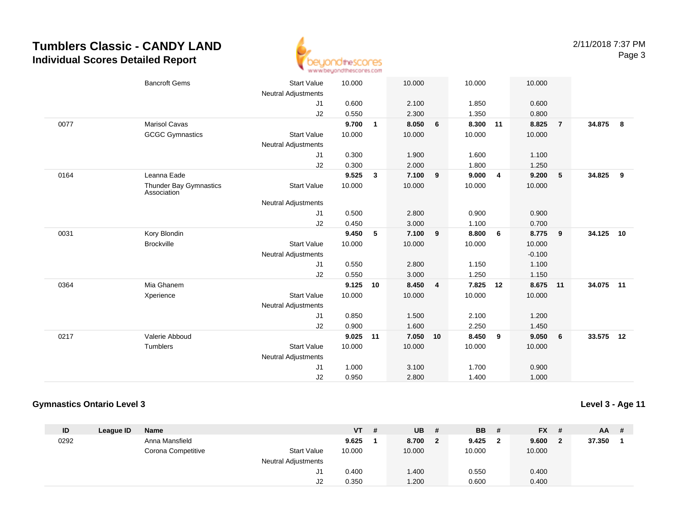

|      | <b>Bancroft Gems</b>                  | <b>Start Value</b>         | 10.000 |              | 10.000   |   | 10.000 |    | 10.000   |                 |           |            |
|------|---------------------------------------|----------------------------|--------|--------------|----------|---|--------|----|----------|-----------------|-----------|------------|
|      |                                       | <b>Neutral Adjustments</b> |        |              |          |   |        |    |          |                 |           |            |
|      |                                       | J1                         | 0.600  |              | 2.100    |   | 1.850  |    | 0.600    |                 |           |            |
|      |                                       | J2                         | 0.550  |              | 2.300    |   | 1.350  |    | 0.800    |                 |           |            |
| 0077 | <b>Marisol Cavas</b>                  |                            | 9.700  | $\mathbf{1}$ | 8.050    | 6 | 8.300  | 11 | 8.825    | $\overline{7}$  | 34.875    | $_{\rm 8}$ |
|      | <b>GCGC Gymnastics</b>                | <b>Start Value</b>         | 10.000 |              | 10.000   |   | 10.000 |    | 10.000   |                 |           |            |
|      |                                       | <b>Neutral Adjustments</b> |        |              |          |   |        |    |          |                 |           |            |
|      |                                       | J1                         | 0.300  |              | 1.900    |   | 1.600  |    | 1.100    |                 |           |            |
|      |                                       | J2                         | 0.300  |              | 2.000    |   | 1.800  |    | 1.250    |                 |           |            |
| 0164 | Leanna Eade                           |                            | 9.525  | 3            | 7.100    | 9 | 9.000  | 4  | 9.200    | $5\phantom{.0}$ | 34.825    | 9          |
|      | Thunder Bay Gymnastics<br>Association | <b>Start Value</b>         | 10.000 |              | 10.000   |   | 10.000 |    | 10.000   |                 |           |            |
|      |                                       | <b>Neutral Adjustments</b> |        |              |          |   |        |    |          |                 |           |            |
|      |                                       | J1                         | 0.500  |              | 2.800    |   | 0.900  |    | 0.900    |                 |           |            |
|      |                                       | J2                         | 0.450  |              | 3.000    |   | 1.100  |    | 0.700    |                 |           |            |
| 0031 | Kory Blondin                          |                            | 9.450  | 5            | 7.100    | 9 | 8.800  | 6  | 8.775    | 9               | 34.125 10 |            |
|      | <b>Brockville</b>                     | <b>Start Value</b>         | 10.000 |              | 10.000   |   | 10.000 |    | 10.000   |                 |           |            |
|      |                                       | <b>Neutral Adjustments</b> |        |              |          |   |        |    | $-0.100$ |                 |           |            |
|      |                                       | J1                         | 0.550  |              | 2.800    |   | 1.150  |    | 1.100    |                 |           |            |
|      |                                       | J2                         | 0.550  |              | 3.000    |   | 1.250  |    | 1.150    |                 |           |            |
| 0364 | Mia Ghanem                            |                            | 9.125  | 10           | 8.450    | 4 | 7.825  | 12 | 8.675 11 |                 | 34.075 11 |            |
|      | Xperience                             | <b>Start Value</b>         | 10.000 |              | 10.000   |   | 10.000 |    | 10.000   |                 |           |            |
|      |                                       | Neutral Adjustments        |        |              |          |   |        |    |          |                 |           |            |
|      |                                       | J1                         | 0.850  |              | 1.500    |   | 2.100  |    | 1.200    |                 |           |            |
|      |                                       | J2                         | 0.900  |              | 1.600    |   | 2.250  |    | 1.450    |                 |           |            |
| 0217 | Valerie Abboud                        |                            | 9.025  | 11           | 7.050 10 |   | 8.450  | 9  | 9.050    | 6               | 33.575 12 |            |
|      | <b>Tumblers</b>                       | <b>Start Value</b>         | 10.000 |              | 10.000   |   | 10.000 |    | 10.000   |                 |           |            |
|      |                                       | <b>Neutral Adjustments</b> |        |              |          |   |        |    |          |                 |           |            |
|      |                                       | J1                         | 1.000  |              | 3.100    |   | 1.700  |    | 0.900    |                 |           |            |
|      |                                       | J2                         | 0.950  |              | 2.800    |   | 1.400  |    | 1.000    |                 |           |            |
|      |                                       |                            |        |              |          |   |        |    |          |                 |           |            |

### **Gymnastics Ontario Level 3**

| ID   | League ID | <b>Name</b>        |                            | <b>VT</b> | - # | <b>UB</b> | #  | <b>BB</b> | #            | $FX$ # | $AA$ # |  |
|------|-----------|--------------------|----------------------------|-----------|-----|-----------|----|-----------|--------------|--------|--------|--|
| 0292 |           | Anna Mansfield     |                            | 9.625     |     | 8.700     | -2 | 9.425     | $\mathbf{2}$ | 9.600  | 37.350 |  |
|      |           | Corona Competitive | <b>Start Value</b>         | 10.000    |     | 10.000    |    | 10.000    |              | 10.000 |        |  |
|      |           |                    | <b>Neutral Adjustments</b> |           |     |           |    |           |              |        |        |  |
|      |           |                    | J1                         | 0.400     |     | 1.400     |    | 0.550     |              | 0.400  |        |  |
|      |           |                    | J2                         | 0.350     |     | 1.200     |    | 0.600     |              | 0.400  |        |  |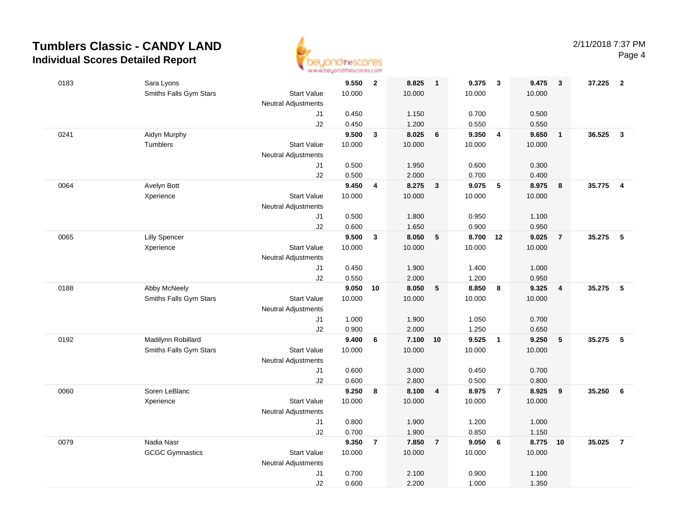

| 0183 | Sara Lyons             |                            | 9.550  | $\overline{\mathbf{2}}$ | 8.825  | $\overline{\mathbf{1}}$ | 9.375    | $\mathbf{3}$   | 9.475  | 3                       | 37.225 | $\overline{\mathbf{2}}$ |
|------|------------------------|----------------------------|--------|-------------------------|--------|-------------------------|----------|----------------|--------|-------------------------|--------|-------------------------|
|      | Smiths Falls Gym Stars | <b>Start Value</b>         | 10.000 |                         | 10.000 |                         | 10.000   |                | 10.000 |                         |        |                         |
|      |                        | <b>Neutral Adjustments</b> |        |                         |        |                         |          |                |        |                         |        |                         |
|      |                        | J1                         | 0.450  |                         | 1.150  |                         | 0.700    |                | 0.500  |                         |        |                         |
|      |                        | J2                         | 0.450  |                         | 1.200  |                         | 0.550    |                | 0.550  |                         |        |                         |
| 0241 | Aidyn Murphy           |                            | 9.500  | $\mathbf{3}$            | 8.025  | 6                       | 9.350    | $\overline{4}$ | 9.650  | $\mathbf{1}$            | 36.525 | $\mathbf{3}$            |
|      | Tumblers               | <b>Start Value</b>         | 10.000 |                         | 10.000 |                         | 10.000   |                | 10.000 |                         |        |                         |
|      |                        | <b>Neutral Adjustments</b> |        |                         |        |                         |          |                |        |                         |        |                         |
|      |                        | J1                         | 0.500  |                         | 1.950  |                         | 0.600    |                | 0.300  |                         |        |                         |
|      |                        | J2                         | 0.500  |                         | 2.000  |                         | 0.700    |                | 0.400  |                         |        |                         |
| 0064 | Avelyn Bott            |                            | 9.450  | 4                       | 8.275  | $\mathbf{3}$            | 9.075    | $-5$           | 8.975  | 8                       | 35.775 | $\overline{4}$          |
|      | Xperience              | <b>Start Value</b>         | 10.000 |                         | 10.000 |                         | 10.000   |                | 10.000 |                         |        |                         |
|      |                        | <b>Neutral Adjustments</b> |        |                         |        |                         |          |                |        |                         |        |                         |
|      |                        | J1                         | 0.500  |                         | 1.800  |                         | 0.950    |                | 1.100  |                         |        |                         |
|      |                        | J2                         | 0.600  |                         | 1.650  |                         | 0.900    |                | 0.950  |                         |        |                         |
| 0065 | <b>Lilly Spencer</b>   |                            | 9.500  | $\mathbf{3}$            | 8.050  | $5\phantom{.0}$         | 8.700 12 |                | 9.025  | $\overline{7}$          | 35.275 | $-5$                    |
|      | Xperience              | <b>Start Value</b>         | 10.000 |                         | 10.000 |                         | 10.000   |                | 10.000 |                         |        |                         |
|      |                        | <b>Neutral Adjustments</b> |        |                         |        |                         |          |                |        |                         |        |                         |
|      |                        | J1                         | 0.450  |                         | 1.900  |                         | 1.400    |                | 1.000  |                         |        |                         |
|      |                        | J2                         | 0.550  |                         | 2.000  |                         | 1.200    |                | 0.950  |                         |        |                         |
| 0188 | Abby McNeely           |                            | 9.050  | 10                      | 8.050  | $\sqrt{5}$              | 8.850    | 8              | 9.325  | $\overline{\mathbf{4}}$ | 35.275 | 5                       |
|      | Smiths Falls Gym Stars | <b>Start Value</b>         | 10.000 |                         | 10.000 |                         | 10.000   |                | 10.000 |                         |        |                         |
|      |                        | <b>Neutral Adjustments</b> |        |                         |        |                         |          |                |        |                         |        |                         |
|      |                        | J1                         | 1.000  |                         | 1.900  |                         | 1.050    |                | 0.700  |                         |        |                         |
|      |                        | J2                         | 0.900  |                         | 2.000  |                         | 1.250    |                | 0.650  |                         |        |                         |
| 0192 | Madilynn Robillard     |                            | 9.400  | 6                       | 7.100  | 10                      | 9.525    | $\overline{1}$ | 9.250  | 5                       | 35.275 | -5                      |
|      | Smiths Falls Gym Stars | <b>Start Value</b>         | 10.000 |                         | 10.000 |                         | 10.000   |                | 10.000 |                         |        |                         |
|      |                        | <b>Neutral Adjustments</b> |        |                         |        |                         |          |                |        |                         |        |                         |
|      |                        | J1                         | 0.600  |                         | 3.000  |                         | 0.450    |                | 0.700  |                         |        |                         |
|      |                        | J2                         | 0.600  |                         | 2.800  |                         | 0.500    |                | 0.800  |                         |        |                         |
| 0060 | Soren LeBlanc          |                            | 9.250  | 8                       | 8.100  | $\overline{\mathbf{4}}$ | 8.975    | $\overline{7}$ | 8.925  | $\boldsymbol{9}$        | 35.250 | 6                       |
|      | Xperience              | <b>Start Value</b>         | 10.000 |                         | 10.000 |                         | 10.000   |                | 10.000 |                         |        |                         |
|      |                        | <b>Neutral Adjustments</b> |        |                         |        |                         |          |                |        |                         |        |                         |
|      |                        | J1                         | 0.800  |                         | 1.900  |                         | 1.200    |                | 1.000  |                         |        |                         |
|      |                        | J2                         | 0.700  |                         | 1.900  |                         | 0.850    |                | 1.150  |                         |        |                         |
| 0079 | Nadia Nasr             |                            | 9.350  | $\overline{7}$          | 7.850  | $\overline{7}$          | 9.050    | 6              | 8.775  | 10                      | 35.025 | $\overline{7}$          |
|      | <b>GCGC Gymnastics</b> | <b>Start Value</b>         | 10.000 |                         | 10.000 |                         | 10.000   |                | 10.000 |                         |        |                         |
|      |                        | <b>Neutral Adjustments</b> |        |                         |        |                         |          |                |        |                         |        |                         |
|      |                        | J1                         | 0.700  |                         | 2.100  |                         | 0.900    |                | 1.100  |                         |        |                         |
|      |                        | J2                         | 0.600  |                         | 2.200  |                         | 1.000    |                | 1.350  |                         |        |                         |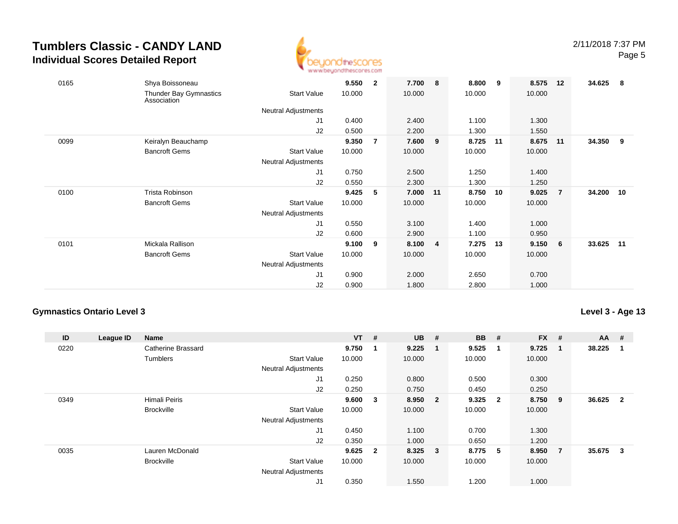

| 0165 | Shya Boissoneau<br>Thunder Bay Gymnastics | <b>Start Value</b>  | 9.550<br>10.000 | $\overline{2}$ | 7.700<br>10.000 | 8              | 8.800<br>10.000 | 9  | 8.575<br>10.000 | 12             | 34.625 | - 8 |
|------|-------------------------------------------|---------------------|-----------------|----------------|-----------------|----------------|-----------------|----|-----------------|----------------|--------|-----|
|      | Association                               |                     |                 |                |                 |                |                 |    |                 |                |        |     |
|      |                                           | Neutral Adjustments |                 |                |                 |                |                 |    |                 |                |        |     |
|      |                                           | J1                  | 0.400           |                | 2.400           |                | 1.100           |    | 1.300           |                |        |     |
|      |                                           | J2                  | 0.500           |                | 2.200           |                | 1.300           |    | 1.550           |                |        |     |
| 0099 | Keiralyn Beauchamp                        |                     | 9.350           | $\overline{7}$ | 7.600           | 9              | 8.725           | 11 | 8.675           | 11             | 34.350 | 9   |
|      | <b>Bancroft Gems</b>                      | <b>Start Value</b>  | 10.000          |                | 10.000          |                | 10.000          |    | 10.000          |                |        |     |
|      |                                           | Neutral Adjustments |                 |                |                 |                |                 |    |                 |                |        |     |
|      |                                           | J1                  | 0.750           |                | 2.500           |                | 1.250           |    | 1.400           |                |        |     |
|      |                                           | J2                  | 0.550           |                | 2.300           |                | 1.300           |    | 1.250           |                |        |     |
| 0100 | <b>Trista Robinson</b>                    |                     | 9.425           | 5              | 7.000           | 11             | 8.750           | 10 | 9.025           | $\overline{7}$ | 34.200 | 10  |
|      | <b>Bancroft Gems</b>                      | <b>Start Value</b>  | 10.000          |                | 10.000          |                | 10.000          |    | 10.000          |                |        |     |
|      |                                           | Neutral Adjustments |                 |                |                 |                |                 |    |                 |                |        |     |
|      |                                           | J1                  | 0.550           |                | 3.100           |                | 1.400           |    | 1.000           |                |        |     |
|      |                                           | J2                  | 0.600           |                | 2.900           |                | 1.100           |    | 0.950           |                |        |     |
| 0101 | Mickala Rallison                          |                     | 9.100           | 9              | 8.100           | $\overline{4}$ | 7.275           | 13 | 9.150           | - 6            | 33.625 | 11  |
|      | <b>Bancroft Gems</b>                      | <b>Start Value</b>  | 10.000          |                | 10.000          |                | 10.000          |    | 10.000          |                |        |     |
|      |                                           | Neutral Adjustments |                 |                |                 |                |                 |    |                 |                |        |     |
|      |                                           | J <sub>1</sub>      | 0.900           |                | 2.000           |                | 2.650           |    | 0.700           |                |        |     |
|      |                                           | J2                  | 0.900           |                | 1.800           |                | 2.800           |    | 1.000           |                |        |     |
|      |                                           |                     |                 |                |                 |                |                 |    |                 |                |        |     |

### **Gymnastics Ontario Level 3**

| ID   | League ID | Name                 |                            | $VT$ # |                         | <b>UB</b> | #              | <b>BB</b> | #                       | <b>FX</b> | #              | $AA$ # |                |
|------|-----------|----------------------|----------------------------|--------|-------------------------|-----------|----------------|-----------|-------------------------|-----------|----------------|--------|----------------|
| 0220 |           | Catherine Brassard   |                            | 9.750  |                         | 9.225     | $\blacksquare$ | 9.525     | -1                      | 9.725     | -1             | 38.225 |                |
|      |           | Tumblers             | <b>Start Value</b>         | 10.000 |                         | 10.000    |                | 10.000    |                         | 10.000    |                |        |                |
|      |           |                      | <b>Neutral Adjustments</b> |        |                         |           |                |           |                         |           |                |        |                |
|      |           |                      | J1                         | 0.250  |                         | 0.800     |                | 0.500     |                         | 0.300     |                |        |                |
|      |           |                      | J2                         | 0.250  |                         | 0.750     |                | 0.450     |                         | 0.250     |                |        |                |
| 0349 |           | <b>Himali Peiris</b> |                            | 9.600  | 3                       | 8.950 2   |                | 9.325     | $\overline{\mathbf{2}}$ | 8.750     | 9              | 36.625 | $\overline{2}$ |
|      |           | <b>Brockville</b>    | <b>Start Value</b>         | 10.000 |                         | 10.000    |                | 10.000    |                         | 10.000    |                |        |                |
|      |           |                      | <b>Neutral Adjustments</b> |        |                         |           |                |           |                         |           |                |        |                |
|      |           |                      | J1                         | 0.450  |                         | 1.100     |                | 0.700     |                         | 1.300     |                |        |                |
|      |           |                      | J2                         | 0.350  |                         | 1.000     |                | 0.650     |                         | 1.200     |                |        |                |
| 0035 |           | Lauren McDonald      |                            | 9.625  | $\overline{\mathbf{2}}$ | 8.325 3   |                | 8.775     | - 5                     | 8.950     | $\overline{7}$ | 35.675 | $\mathbf{3}$   |
|      |           | <b>Brockville</b>    | <b>Start Value</b>         | 10.000 |                         | 10.000    |                | 10.000    |                         | 10.000    |                |        |                |
|      |           |                      | <b>Neutral Adjustments</b> |        |                         |           |                |           |                         |           |                |        |                |
|      |           |                      | J1                         | 0.350  |                         | 1.550     |                | 1.200     |                         | 1.000     |                |        |                |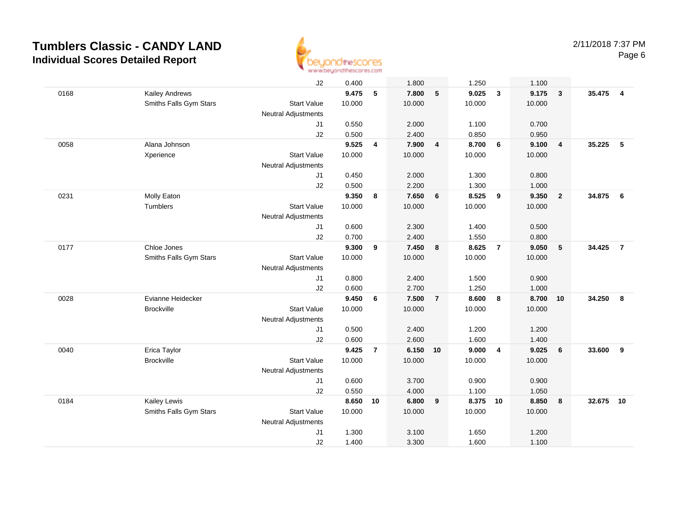

|      |                        | J2                         | 0.400  |                | 1.800    |                 | 1.250    |                         | 1.100  |                         |          |                |
|------|------------------------|----------------------------|--------|----------------|----------|-----------------|----------|-------------------------|--------|-------------------------|----------|----------------|
| 0168 | <b>Kailey Andrews</b>  |                            | 9.475  | 5              | 7.800    | $5\phantom{.0}$ | 9.025    | $\mathbf{3}$            | 9.175  | $\overline{\mathbf{3}}$ | 35.475 4 |                |
|      | Smiths Falls Gym Stars | <b>Start Value</b>         | 10.000 |                | 10.000   |                 | 10.000   |                         | 10.000 |                         |          |                |
|      |                        | Neutral Adjustments        |        |                |          |                 |          |                         |        |                         |          |                |
|      |                        | J1                         | 0.550  |                | 2.000    |                 | 1.100    |                         | 0.700  |                         |          |                |
|      |                        | J2                         | 0.500  |                | 2.400    |                 | 0.850    |                         | 0.950  |                         |          |                |
| 0058 | Alana Johnson          |                            | 9.525  | 4              | 7.900    | $\overline{4}$  | 8.700    | $6\phantom{.}6$         | 9.100  | $\overline{4}$          | 35.225   | 5              |
|      | Xperience              | <b>Start Value</b>         | 10.000 |                | 10.000   |                 | 10.000   |                         | 10.000 |                         |          |                |
|      |                        | <b>Neutral Adjustments</b> |        |                |          |                 |          |                         |        |                         |          |                |
|      |                        | J1                         | 0.450  |                | 2.000    |                 | 1.300    |                         | 0.800  |                         |          |                |
|      |                        | J2                         | 0.500  |                | 2.200    |                 | 1.300    |                         | 1.000  |                         |          |                |
| 0231 | Molly Eaton            |                            | 9.350  | 8              | 7.650    | 6               | 8.525    | 9                       | 9.350  | $\overline{2}$          | 34.875   | - 6            |
|      | Tumblers               | <b>Start Value</b>         | 10.000 |                | 10.000   |                 | 10.000   |                         | 10.000 |                         |          |                |
|      |                        | <b>Neutral Adjustments</b> |        |                |          |                 |          |                         |        |                         |          |                |
|      |                        | J <sub>1</sub>             | 0.600  |                | 2.300    |                 | 1.400    |                         | 0.500  |                         |          |                |
|      |                        | J <sub>2</sub>             | 0.700  |                | 2.400    |                 | 1.550    |                         | 0.800  |                         |          |                |
| 0177 | Chloe Jones            |                            | 9.300  | 9              | 7.450    | 8               | 8.625    | $\overline{7}$          | 9.050  | $\sqrt{5}$              | 34.425   | $\overline{7}$ |
|      | Smiths Falls Gym Stars | <b>Start Value</b>         | 10.000 |                | 10.000   |                 | 10.000   |                         | 10.000 |                         |          |                |
|      |                        | Neutral Adjustments        |        |                |          |                 |          |                         |        |                         |          |                |
|      |                        | J1                         | 0.800  |                | 2.400    |                 | 1.500    |                         | 0.900  |                         |          |                |
|      |                        | J2                         | 0.600  |                | 2.700    |                 | 1.250    |                         | 1.000  |                         |          |                |
| 0028 | Evianne Heidecker      |                            | 9.450  | 6              | 7.500    | $\overline{7}$  | 8.600    | $\overline{\mathbf{8}}$ | 8.700  | 10                      | 34.250   | 8              |
|      | <b>Brockville</b>      | <b>Start Value</b>         | 10.000 |                | 10.000   |                 | 10.000   |                         | 10.000 |                         |          |                |
|      |                        | <b>Neutral Adjustments</b> |        |                |          |                 |          |                         |        |                         |          |                |
|      |                        | J1                         | 0.500  |                | 2.400    |                 | 1.200    |                         | 1.200  |                         |          |                |
|      |                        | J2                         | 0.600  |                | 2.600    |                 | 1.600    |                         | 1.400  |                         |          |                |
| 0040 | Erica Taylor           |                            | 9.425  | $\overline{7}$ | 6.150 10 |                 | 9.000    | $\overline{4}$          | 9.025  | 6                       | 33.600   | 9              |
|      | <b>Brockville</b>      | <b>Start Value</b>         | 10.000 |                | 10.000   |                 | 10.000   |                         | 10.000 |                         |          |                |
|      |                        | <b>Neutral Adjustments</b> |        |                |          |                 |          |                         |        |                         |          |                |
|      |                        | J1                         | 0.600  |                | 3.700    |                 | 0.900    |                         | 0.900  |                         |          |                |
|      |                        | J2                         | 0.550  |                | 4.000    |                 | 1.100    |                         | 1.050  |                         |          |                |
| 0184 | Kailey Lewis           |                            | 8.650  | 10             | 6.800    | 9               | 8.375 10 |                         | 8.850  | 8                       | 32.675   | 10             |
|      | Smiths Falls Gym Stars | <b>Start Value</b>         | 10.000 |                | 10.000   |                 | 10.000   |                         | 10.000 |                         |          |                |
|      |                        | Neutral Adjustments        |        |                |          |                 |          |                         |        |                         |          |                |
|      |                        | J <sub>1</sub>             | 1.300  |                | 3.100    |                 | 1.650    |                         | 1.200  |                         |          |                |
|      |                        | J2                         | 1.400  |                | 3.300    |                 | 1.600    |                         | 1.100  |                         |          |                |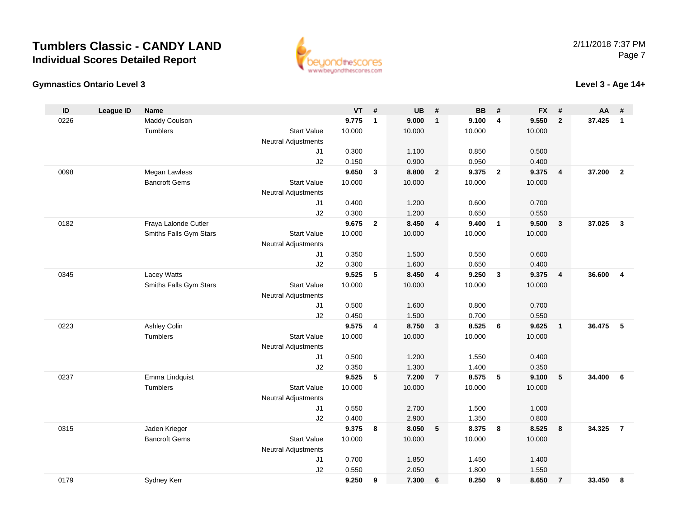



#### **Level 3 - Age 14+**

| ID   | <b>League ID</b> | <b>Name</b>            |                            | $VT$ #         |              | <b>UB</b>      | #              | <b>BB</b>      | #                       | <b>FX</b>      | #                       | AA     | #              |
|------|------------------|------------------------|----------------------------|----------------|--------------|----------------|----------------|----------------|-------------------------|----------------|-------------------------|--------|----------------|
| 0226 |                  | Maddy Coulson          |                            | 9.775          | $\mathbf{1}$ | 9.000          | $\mathbf{1}$   | 9.100          | $\overline{\mathbf{4}}$ | 9.550          | $\overline{2}$          | 37.425 | $\mathbf{1}$   |
|      |                  | <b>Tumblers</b>        | <b>Start Value</b>         | 10.000         |              | 10.000         |                | 10.000         |                         | 10.000         |                         |        |                |
|      |                  |                        | <b>Neutral Adjustments</b> |                |              |                |                |                |                         |                |                         |        |                |
|      |                  |                        | J1                         | 0.300          |              | 1.100          |                | 0.850          |                         | 0.500          |                         |        |                |
|      |                  |                        | J2                         | 0.150          |              | 0.900          |                | 0.950          |                         | 0.400          |                         |        |                |
| 0098 |                  | Megan Lawless          |                            | 9.650          | $\mathbf{3}$ | 8.800          | $\overline{2}$ | 9.375          | $\overline{2}$          | 9.375          | $\overline{4}$          | 37.200 | $\overline{2}$ |
|      |                  | <b>Bancroft Gems</b>   | <b>Start Value</b>         | 10.000         |              | 10.000         |                | 10.000         |                         | 10.000         |                         |        |                |
|      |                  |                        | <b>Neutral Adjustments</b> |                |              |                |                |                |                         |                |                         |        |                |
|      |                  |                        | J1                         | 0.400          |              | 1.200          |                | 0.600          |                         | 0.700          |                         |        |                |
|      |                  |                        | J2                         | 0.300          |              | 1.200          |                | 0.650          |                         | 0.550          |                         |        |                |
| 0182 |                  | Fraya Lalonde Cutler   |                            | 9.675          | $\mathbf{2}$ | 8.450          | 4              | 9.400          | $\mathbf{1}$            | 9.500          | $\overline{\mathbf{3}}$ | 37.025 | $\mathbf{3}$   |
|      |                  | Smiths Falls Gym Stars | <b>Start Value</b>         | 10.000         |              | 10.000         |                | 10.000         |                         | 10.000         |                         |        |                |
|      |                  |                        | <b>Neutral Adjustments</b> |                |              |                |                |                |                         |                |                         |        |                |
|      |                  |                        | J1                         | 0.350          |              | 1.500          |                | 0.550          |                         | 0.600          |                         |        |                |
|      |                  |                        | J2                         | 0.300          |              | 1.600          |                | 0.650          |                         | 0.400          |                         |        |                |
| 0345 |                  | Lacey Watts            |                            | 9.525          | 5            | 8.450          | 4              | 9.250          | 3                       | 9.375          | $\overline{4}$          | 36.600 | $\overline{4}$ |
|      |                  | Smiths Falls Gym Stars | <b>Start Value</b>         | 10.000         |              | 10.000         |                | 10.000         |                         | 10.000         |                         |        |                |
|      |                  |                        | <b>Neutral Adjustments</b> |                |              |                |                |                |                         |                |                         |        |                |
|      |                  |                        | J1                         | 0.500          |              | 1.600          |                | 0.800          |                         | 0.700          |                         |        |                |
|      |                  |                        | J2                         | 0.450          |              | 1.500          |                | 0.700          |                         | 0.550          |                         |        |                |
| 0223 |                  | Ashley Colin           |                            | 9.575          | 4            | 8.750          | 3              | 8.525          | 6                       | 9.625          | $\overline{1}$          | 36.475 | - 5            |
|      |                  | <b>Tumblers</b>        | <b>Start Value</b>         | 10.000         |              | 10.000         |                | 10.000         |                         | 10.000         |                         |        |                |
|      |                  |                        | <b>Neutral Adjustments</b> |                |              |                |                |                |                         |                |                         |        |                |
|      |                  |                        | J1                         | 0.500          |              | 1.200          |                | 1.550          |                         | 0.400          |                         |        |                |
|      |                  |                        | J2                         | 0.350          |              | 1.300          |                | 1.400          |                         | 0.350          |                         |        |                |
| 0237 |                  | Emma Lindquist         |                            | 9.525          | 5            | 7.200          | $\overline{7}$ | 8.575          | 5                       | 9.100          | 5                       | 34.400 | 6              |
|      |                  | <b>Tumblers</b>        | <b>Start Value</b>         | 10.000         |              | 10.000         |                | 10.000         |                         | 10.000         |                         |        |                |
|      |                  |                        | <b>Neutral Adjustments</b> |                |              |                |                |                |                         |                |                         |        |                |
|      |                  |                        | J <sub>1</sub>             | 0.550          |              | 2.700          |                | 1.500          |                         | 1.000          |                         |        |                |
|      |                  |                        | J2                         | 0.400          |              | 2.900          |                | 1.350          |                         | 0.800          |                         |        |                |
| 0315 |                  | Jaden Krieger          | <b>Start Value</b>         | 9.375          | 8            | 8.050          | 5              | 8.375          | 8                       | 8.525          | 8                       | 34.325 | $\overline{7}$ |
|      |                  | <b>Bancroft Gems</b>   |                            | 10.000         |              | 10.000         |                | 10.000         |                         | 10.000         |                         |        |                |
|      |                  |                        | <b>Neutral Adjustments</b> |                |              |                |                |                |                         |                |                         |        |                |
|      |                  |                        | J <sub>1</sub>             | 0.700          |              | 1.850<br>2.050 |                | 1.450<br>1.800 |                         | 1.400<br>1.550 |                         |        |                |
| 0179 |                  |                        | J2                         | 0.550<br>9.250 |              | 7.300          |                | 8.250          |                         | 8.650          |                         | 33.450 |                |
|      |                  | Sydney Kerr            |                            |                | 9            |                | 6              |                | 9                       |                | $\overline{7}$          |        | 8              |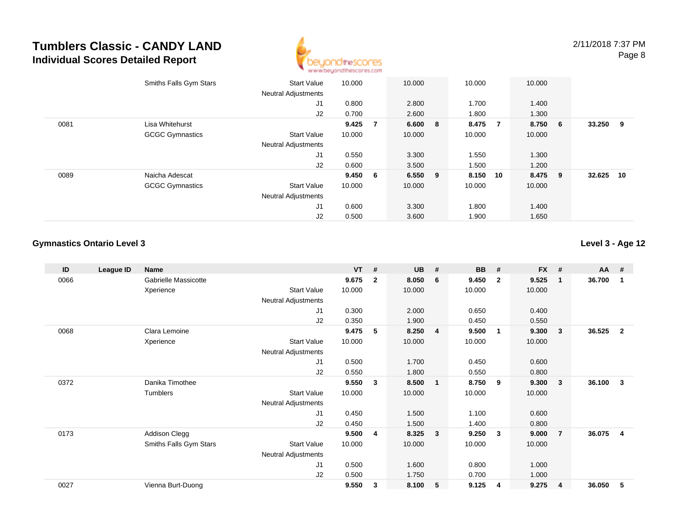

|      | Smiths Falls Gym Stars | <b>Start Value</b><br><b>Neutral Adjustments</b> | 10.000  |                | 10.000    | 10.000 |                | 10.000  |     |        |     |
|------|------------------------|--------------------------------------------------|---------|----------------|-----------|--------|----------------|---------|-----|--------|-----|
|      |                        | J1                                               | 0.800   |                | 2.800     | 1.700  |                | 1.400   |     |        |     |
|      |                        | J2                                               | 0.700   |                | 2.600     | 1.800  |                | 1.300   |     |        |     |
| 0081 | Lisa Whitehurst        |                                                  | 9.425   | $\overline{7}$ | 6.600 8   | 8.475  | $\overline{7}$ | 8.750 6 |     | 33.250 | - 9 |
|      | <b>GCGC Gymnastics</b> | <b>Start Value</b>                               | 10.000  |                | 10.000    | 10.000 |                | 10.000  |     |        |     |
|      |                        | <b>Neutral Adjustments</b>                       |         |                |           |        |                |         |     |        |     |
|      |                        | J1                                               | 0.550   |                | 3.300     | 1.550  |                | 1.300   |     |        |     |
|      |                        | J2                                               | 0.600   |                | 3.500     | 1.500  |                | 1.200   |     |        |     |
| 0089 | Naicha Adescat         |                                                  | 9.450 6 |                | $6.550$ 9 | 8.150  | 10             | 8.475   | - 9 | 32.625 | 10  |
|      | <b>GCGC Gymnastics</b> | <b>Start Value</b>                               | 10.000  |                | 10.000    | 10.000 |                | 10.000  |     |        |     |
|      |                        | <b>Neutral Adjustments</b>                       |         |                |           |        |                |         |     |        |     |
|      |                        | J1                                               | 0.600   |                | 3.300     | 1.800  |                | 1.400   |     |        |     |
|      |                        | J2                                               | 0.500   |                | 3.600     | 1.900  |                | 1.650   |     |        |     |

### **Gymnastics Ontario Level 3**

| ID   | League ID | <b>Name</b>            |                            | $VT$ # |                | <b>UB</b> | #              | <b>BB</b> | #                       | <b>FX</b> | #                       | <b>AA</b> | #                       |
|------|-----------|------------------------|----------------------------|--------|----------------|-----------|----------------|-----------|-------------------------|-----------|-------------------------|-----------|-------------------------|
| 0066 |           | Gabrielle Massicotte   |                            | 9.675  | $\overline{2}$ | 8.050     | 6              | 9.450     | $\overline{\mathbf{2}}$ | 9.525     | $\overline{\mathbf{1}}$ | 36.700    | -1                      |
|      |           | Xperience              | <b>Start Value</b>         | 10.000 |                | 10.000    |                | 10.000    |                         | 10.000    |                         |           |                         |
|      |           |                        | Neutral Adjustments        |        |                |           |                |           |                         |           |                         |           |                         |
|      |           |                        | J1                         | 0.300  |                | 2.000     |                | 0.650     |                         | 0.400     |                         |           |                         |
|      |           |                        | J2                         | 0.350  |                | 1.900     |                | 0.450     |                         | 0.550     |                         |           |                         |
| 0068 |           | Clara Lemoine          |                            | 9.475  | 5              | 8.250     | $\overline{4}$ | 9.500     | $\overline{\mathbf{1}}$ | 9.300     | $\mathbf{3}$            | 36.525    | $\overline{2}$          |
|      |           | Xperience              | <b>Start Value</b>         | 10.000 |                | 10.000    |                | 10.000    |                         | 10.000    |                         |           |                         |
|      |           |                        | <b>Neutral Adjustments</b> |        |                |           |                |           |                         |           |                         |           |                         |
|      |           |                        | J1                         | 0.500  |                | 1.700     |                | 0.450     |                         | 0.600     |                         |           |                         |
|      |           |                        | J2                         | 0.550  |                | 1.800     |                | 0.550     |                         | 0.800     |                         |           |                         |
| 0372 |           | Danika Timothee        |                            | 9.550  | 3              | 8.500     | $\mathbf{1}$   | 8.750     | - 9                     | 9.300     | $\mathbf{3}$            | 36.100    | 3                       |
|      |           | Tumblers               | <b>Start Value</b>         | 10.000 |                | 10.000    |                | 10.000    |                         | 10.000    |                         |           |                         |
|      |           |                        | <b>Neutral Adjustments</b> |        |                |           |                |           |                         |           |                         |           |                         |
|      |           |                        | J1                         | 0.450  |                | 1.500     |                | 1.100     |                         | 0.600     |                         |           |                         |
|      |           |                        | J2                         | 0.450  |                | 1.500     |                | 1.400     |                         | 0.800     |                         |           |                         |
| 0173 |           | Addison Clegg          |                            | 9.500  | 4              | 8.325     | 3              | 9.250     | $\mathbf{3}$            | 9.000     | $\overline{7}$          | 36.075    | $\overline{\mathbf{4}}$ |
|      |           | Smiths Falls Gym Stars | <b>Start Value</b>         | 10.000 |                | 10.000    |                | 10.000    |                         | 10.000    |                         |           |                         |
|      |           |                        | <b>Neutral Adjustments</b> |        |                |           |                |           |                         |           |                         |           |                         |
|      |           |                        | J1                         | 0.500  |                | 1.600     |                | 0.800     |                         | 1.000     |                         |           |                         |
|      |           |                        | J2                         | 0.500  |                | 1.750     |                | 0.700     |                         | 1.000     |                         |           |                         |
| 0027 |           | Vienna Burt-Duong      |                            | 9.550  | 3              | 8.100     | 5              | 9.125     | 4                       | 9.275     | $\overline{4}$          | 36.050    | 5                       |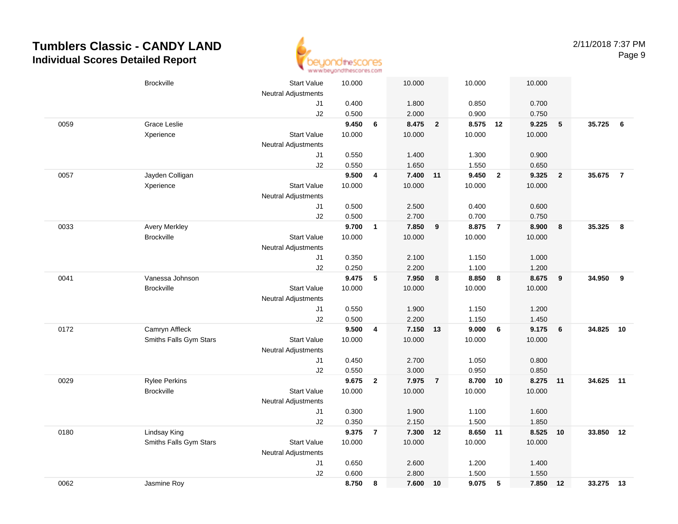

|      | <b>Brockville</b>      | <b>Start Value</b><br><b>Neutral Adjustments</b> | 10.000         |                         | 10.000         |                | 10.000            |                | 10.000            |                         |           |                         |
|------|------------------------|--------------------------------------------------|----------------|-------------------------|----------------|----------------|-------------------|----------------|-------------------|-------------------------|-----------|-------------------------|
|      |                        | J1                                               | 0.400          |                         | 1.800          |                | 0.850             |                | 0.700             |                         |           |                         |
|      |                        | J2                                               | 0.500          |                         | 2.000          |                | 0.900             |                | 0.750             |                         |           |                         |
| 0059 | <b>Grace Leslie</b>    |                                                  | 9.450          | 6                       | 8.475          | $\overline{2}$ | 8.575 12          |                | 9.225             | 5                       | 35.725    | 6                       |
|      | Xperience              | <b>Start Value</b>                               | 10.000         |                         | 10.000         |                | 10.000            |                | 10.000            |                         |           |                         |
|      |                        | <b>Neutral Adjustments</b>                       |                |                         |                |                |                   |                |                   |                         |           |                         |
|      |                        | J1                                               | 0.550          |                         | 1.400          |                | 1.300             |                | 0.900             |                         |           |                         |
|      |                        | J2                                               | 0.550          |                         | 1.650          |                | 1.550             |                | 0.650             |                         |           |                         |
| 0057 | Jayden Colligan        |                                                  | 9.500          | 4                       | 7.400          | 11             | 9.450             | $\mathbf{2}$   | 9.325             | $\overline{2}$          | 35.675    | $\overline{7}$          |
|      | Xperience              | <b>Start Value</b>                               | 10.000         |                         | 10.000         |                | 10.000            |                | 10.000            |                         |           |                         |
|      |                        | <b>Neutral Adjustments</b>                       |                |                         |                |                |                   |                |                   |                         |           |                         |
|      |                        | J1                                               | 0.500          |                         | 2.500          |                | 0.400             |                | 0.600             |                         |           |                         |
|      |                        | J2                                               | 0.500          |                         | 2.700          |                | 0.700             |                | 0.750             |                         |           |                         |
| 0033 | <b>Avery Merkley</b>   |                                                  | 9.700          | $\mathbf{1}$            | 7.850          | 9              | 8.875             | $\overline{7}$ | 8.900             | 8                       | 35.325    | $\overline{\mathbf{8}}$ |
|      | <b>Brockville</b>      | <b>Start Value</b>                               | 10.000         |                         | 10.000         |                | 10.000            |                | 10.000            |                         |           |                         |
|      |                        | <b>Neutral Adjustments</b>                       |                |                         |                |                |                   |                |                   |                         |           |                         |
|      |                        | J1                                               | 0.350          |                         | 2.100          |                | 1.150             |                | 1.000             |                         |           |                         |
|      |                        | J2                                               | 0.250          |                         | 2.200          |                | 1.100             |                | 1.200             |                         |           |                         |
| 0041 | Vanessa Johnson        |                                                  | 9.475          | 5                       | 7.950          | 8              | 8.850             | 8              | 8.675             | $\overline{\mathbf{9}}$ | 34.950    | 9                       |
|      | <b>Brockville</b>      | <b>Start Value</b>                               | 10.000         |                         | 10.000         |                | 10.000            |                | 10.000            |                         |           |                         |
|      |                        | <b>Neutral Adjustments</b>                       |                |                         |                |                |                   |                |                   |                         |           |                         |
|      |                        | J1                                               | 0.550          |                         | 1.900          |                | 1.150             |                | 1.200             |                         |           |                         |
|      |                        | J2                                               | 0.500          |                         | 2.200          |                | 1.150             |                | 1.450             |                         |           |                         |
| 0172 | Camryn Affleck         |                                                  | 9.500          | $\overline{\mathbf{4}}$ | 7.150 13       |                | 9.000             | 6              | 9.175             | 6                       | 34.825    | 10                      |
|      | Smiths Falls Gym Stars | <b>Start Value</b>                               | 10.000         |                         | 10.000         |                | 10.000            |                | 10.000            |                         |           |                         |
|      |                        | <b>Neutral Adjustments</b>                       |                |                         |                |                |                   |                |                   |                         |           |                         |
|      |                        | J1                                               | 0.450          |                         | 2.700          |                | 1.050             |                | 0.800             |                         |           |                         |
| 0029 | <b>Rylee Perkins</b>   | J2                                               | 0.550<br>9.675 | $\mathbf{2}$            | 3.000<br>7.975 | $\overline{7}$ | 0.950<br>8.700 10 |                | 0.850<br>8.275 11 |                         | 34.625 11 |                         |
|      | <b>Brockville</b>      | <b>Start Value</b>                               | 10.000         |                         | 10.000         |                | 10.000            |                | 10.000            |                         |           |                         |
|      |                        | <b>Neutral Adjustments</b>                       |                |                         |                |                |                   |                |                   |                         |           |                         |
|      |                        | J1                                               | 0.300          |                         | 1.900          |                | 1.100             |                | 1.600             |                         |           |                         |
|      |                        | J2                                               | 0.350          |                         | 2.150          |                | 1.500             |                | 1.850             |                         |           |                         |
| 0180 | Lindsay King           |                                                  | 9.375          | $\overline{7}$          | 7.300          | 12             | 8.650             | 11             | 8.525 10          |                         | 33.850 12 |                         |
|      | Smiths Falls Gym Stars | <b>Start Value</b>                               | 10.000         |                         | 10.000         |                | 10.000            |                | 10.000            |                         |           |                         |
|      |                        | Neutral Adjustments                              |                |                         |                |                |                   |                |                   |                         |           |                         |
|      |                        | J1                                               | 0.650          |                         | 2.600          |                | 1.200             |                | 1.400             |                         |           |                         |
|      |                        | J2                                               | 0.600          |                         | 2.800          |                | 1.500             |                | 1.550             |                         |           |                         |
| 0062 | Jasmine Roy            |                                                  | 8.750          | 8                       | 7.600          | 10             | 9.075             | $\sqrt{5}$     | 7.850             | 12                      | 33.275 13 |                         |
|      |                        |                                                  |                |                         |                |                |                   |                |                   |                         |           |                         |